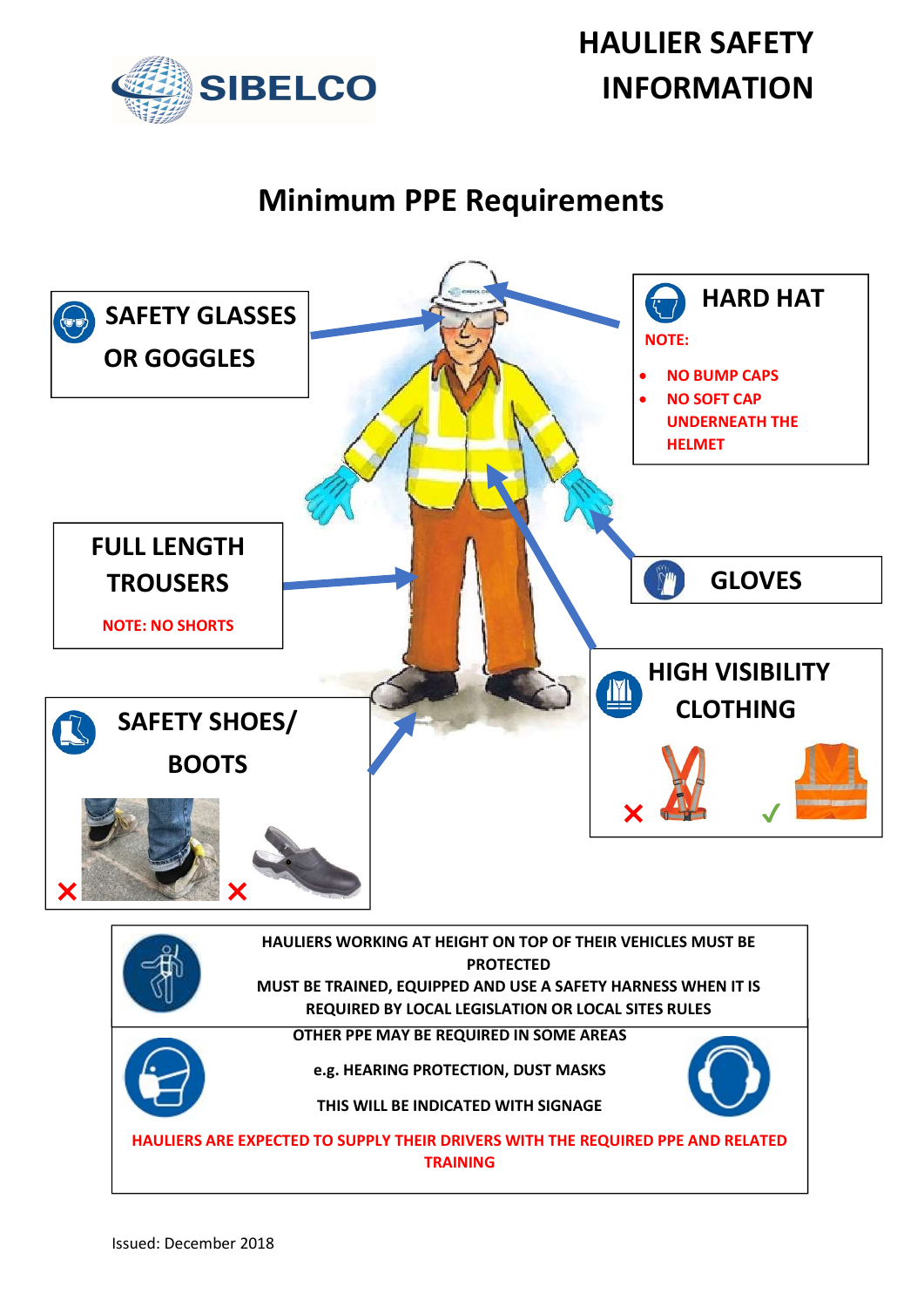

## Minimum PPE Requirements